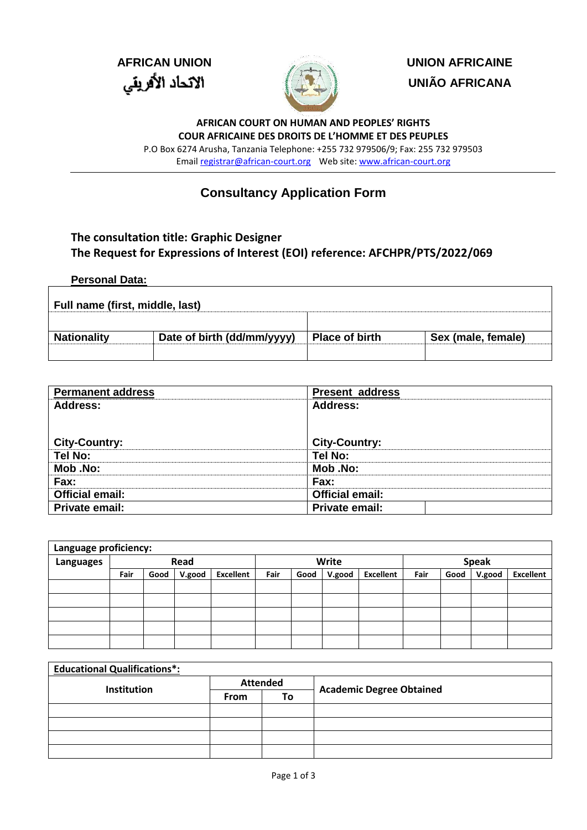

**AFRICAN UNION UNION AFRICAINE UNIÃO AFRICANA**

> **AFRICAN COURT ON HUMAN AND PEOPLES' RIGHTS COUR AFRICAINE DES DROITS DE L'HOMME ET DES PEUPLES**

P.O Box 6274 Arusha, Tanzania Telephone: +255 732 979506/9; Fax: 255 732 979503 Emai[l registrar@african-court.org](mailto:registrar@african-court.org)Web site[: www.african-court.org](http://www.african-court.org/)

## **Consultancy Application Form**

## **The consultation title: Graphic Designer The Request for Expressions of Interest (EOI) reference: AFCHPR/PTS/2022/069**

## **Personal Data:**

| Full name (first, middle, last) |                            |                       |                    |  |  |  |  |
|---------------------------------|----------------------------|-----------------------|--------------------|--|--|--|--|
|                                 |                            |                       |                    |  |  |  |  |
| <b>Nationality</b>              | Date of birth (dd/mm/yyyy) | <b>Place of birth</b> | Sex (male, female) |  |  |  |  |
|                                 |                            |                       |                    |  |  |  |  |

| <b>Permanent address</b> | <b>Present address</b> |
|--------------------------|------------------------|
| <b>Address:</b>          | <b>Address:</b>        |
|                          |                        |
|                          |                        |
| <b>City-Country:</b>     | <b>City-Country:</b>   |
| Tel No:                  | Tel No:                |
| <b>Mob</b> .No:          | <b>Mob</b> .No:        |
| Fax:                     | Fax:                   |
| <b>Official email:</b>   | <b>Official email:</b> |
| Private email:           | Private email:         |

| Language proficiency: |      |      |        |                  |      |      |              |                  |      |      |        |                  |
|-----------------------|------|------|--------|------------------|------|------|--------------|------------------|------|------|--------|------------------|
| Languages             | Read |      |        | Write            |      |      | <b>Speak</b> |                  |      |      |        |                  |
|                       | Fair | Good | V.good | <b>Excellent</b> | Fair | Good | V.good       | <b>Excellent</b> | Fair | Good | V.good | <b>Excellent</b> |
|                       |      |      |        |                  |      |      |              |                  |      |      |        |                  |
|                       |      |      |        |                  |      |      |              |                  |      |      |        |                  |
|                       |      |      |        |                  |      |      |              |                  |      |      |        |                  |
|                       |      |      |        |                  |      |      |              |                  |      |      |        |                  |
|                       |      |      |        |                  |      |      |              |                  |      |      |        |                  |

| <b>Educational Qualifications*:</b> |             |                 |                                 |
|-------------------------------------|-------------|-----------------|---------------------------------|
| Institution                         |             | <b>Attended</b> |                                 |
|                                     | <b>From</b> | То              | <b>Academic Degree Obtained</b> |
|                                     |             |                 |                                 |
|                                     |             |                 |                                 |
|                                     |             |                 |                                 |
|                                     |             |                 |                                 |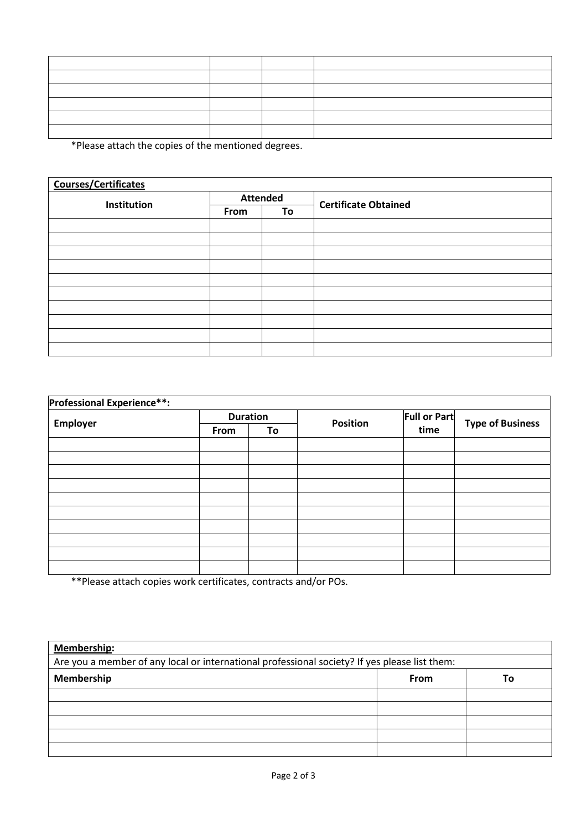\*Please attach the copies of the mentioned degrees.

| <b>Courses/Certificates</b> |                 |    |                             |  |  |  |
|-----------------------------|-----------------|----|-----------------------------|--|--|--|
| Institution                 | <b>Attended</b> |    | <b>Certificate Obtained</b> |  |  |  |
|                             | From            | To |                             |  |  |  |
|                             |                 |    |                             |  |  |  |
|                             |                 |    |                             |  |  |  |
|                             |                 |    |                             |  |  |  |
|                             |                 |    |                             |  |  |  |
|                             |                 |    |                             |  |  |  |
|                             |                 |    |                             |  |  |  |
|                             |                 |    |                             |  |  |  |
|                             |                 |    |                             |  |  |  |
|                             |                 |    |                             |  |  |  |
|                             |                 |    |                             |  |  |  |

| <b>Professional Experience**:</b> |      |                 |                 |                     |                         |  |  |
|-----------------------------------|------|-----------------|-----------------|---------------------|-------------------------|--|--|
|                                   |      | <b>Duration</b> | <b>Position</b> | <b>Full or Part</b> |                         |  |  |
| Employer                          | From | To              |                 | time                | <b>Type of Business</b> |  |  |
|                                   |      |                 |                 |                     |                         |  |  |
|                                   |      |                 |                 |                     |                         |  |  |
|                                   |      |                 |                 |                     |                         |  |  |
|                                   |      |                 |                 |                     |                         |  |  |
|                                   |      |                 |                 |                     |                         |  |  |
|                                   |      |                 |                 |                     |                         |  |  |
|                                   |      |                 |                 |                     |                         |  |  |
|                                   |      |                 |                 |                     |                         |  |  |
|                                   |      |                 |                 |                     |                         |  |  |
|                                   |      |                 |                 |                     |                         |  |  |

\*\*Please attach copies work certificates, contracts and/or POs.

| <b>Membership:</b>                                                                            |  |  |  |  |  |  |  |
|-----------------------------------------------------------------------------------------------|--|--|--|--|--|--|--|
| Are you a member of any local or international professional society? If yes please list them: |  |  |  |  |  |  |  |
| Membership<br><b>From</b><br>То                                                               |  |  |  |  |  |  |  |
|                                                                                               |  |  |  |  |  |  |  |
|                                                                                               |  |  |  |  |  |  |  |
|                                                                                               |  |  |  |  |  |  |  |
|                                                                                               |  |  |  |  |  |  |  |
|                                                                                               |  |  |  |  |  |  |  |